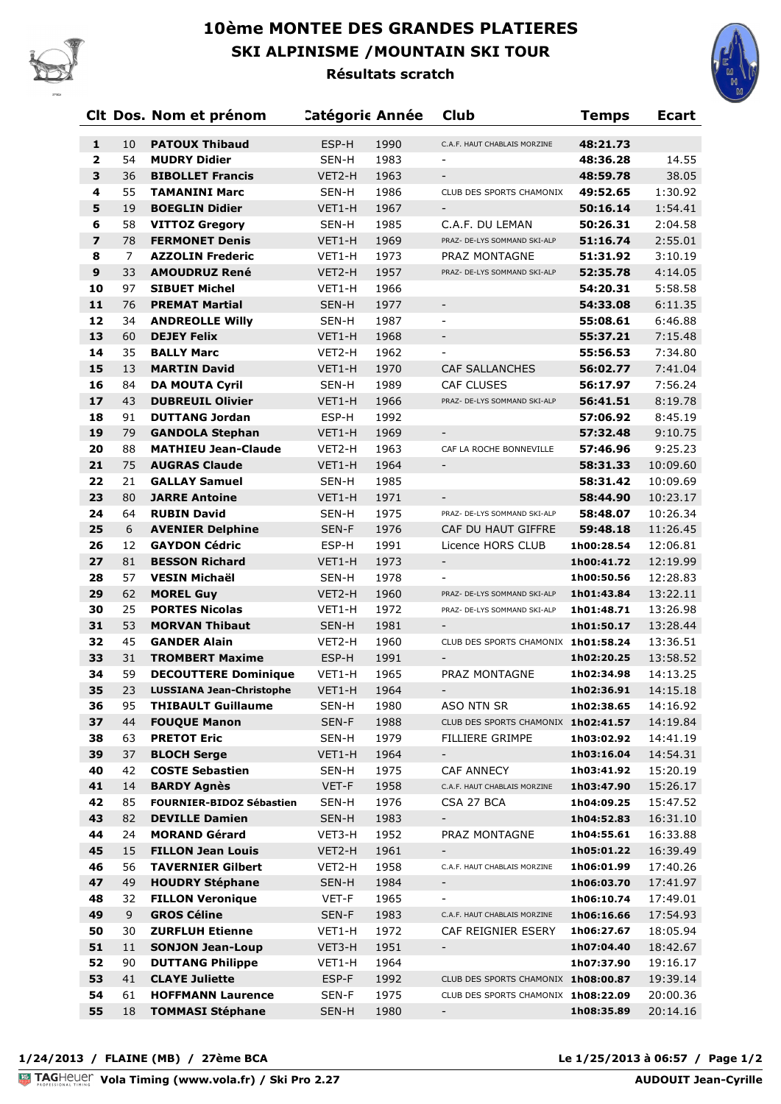

## **10ème MONTEE DES GRANDES PLATIERES SKI ALPINISME /MOUNTAIN SKI TOUR**



**Résultats scratch**

|                         |                  | Clt Dos. Nom et prénom                   | <b>Catégoric Année</b> |              | <b>Club</b>                         | Temps                    | <b>Ecart</b>         |
|-------------------------|------------------|------------------------------------------|------------------------|--------------|-------------------------------------|--------------------------|----------------------|
| $\mathbf{1}$            | 10               | <b>PATOUX Thibaud</b>                    | ESP-H                  | 1990         | C.A.F. HAUT CHABLAIS MORZINE        | 48:21.73                 |                      |
| $\mathbf{2}$            | 54               | <b>MUDRY Didier</b>                      | SEN-H                  | 1983         |                                     | 48:36.28                 | 14.55                |
| 3                       | 36               | <b>BIBOLLET Francis</b>                  | VET2-H                 | 1963         |                                     | 48:59.78                 | 38.05                |
| $\overline{\mathbf{4}}$ | 55               | <b>TAMANINI Marc</b>                     | SEN-H                  | 1986         | CLUB DES SPORTS CHAMONIX            | 49:52.65                 | 1:30.92              |
| 5                       | 19               | <b>BOEGLIN Didier</b>                    | VET1-H                 | 1967         |                                     | 50:16.14                 | 1:54.41              |
| 6                       | 58               | <b>VITTOZ Gregory</b>                    | SEN-H                  | 1985         | C.A.F. DU LEMAN                     | 50:26.31                 | 2:04.58              |
| $\overline{\mathbf{z}}$ | 78               | <b>FERMONET Denis</b>                    | VET1-H                 | 1969         | PRAZ- DE-LYS SOMMAND SKI-ALP        | 51:16.74                 | 2:55.01              |
| 8                       | 7                | <b>AZZOLIN Frederic</b>                  | VET1-H                 | 1973         | PRAZ MONTAGNE                       | 51:31.92                 | 3:10.19              |
| $\boldsymbol{9}$        | 33               | <b>AMOUDRUZ René</b>                     | VET2-H                 | 1957         | PRAZ- DE-LYS SOMMAND SKI-ALP        | 52:35.78                 | 4:14.05              |
| 10                      | 97               | <b>SIBUET Michel</b>                     | VET1-H                 | 1966         |                                     | 54:20.31                 | 5:58.58              |
| 11                      | 76               | <b>PREMAT Martial</b>                    | SEN-H                  | 1977         | $\overline{\phantom{a}}$            | 54:33.08                 | 6:11.35              |
| 12                      | 34               | <b>ANDREOLLE Willy</b>                   | SEN-H                  | 1987         | $\overline{\phantom{a}}$            | 55:08.61                 | 6:46.88              |
| 13                      | 60               | <b>DEJEY Felix</b>                       | VET1-H                 | 1968         | $\overline{\phantom{a}}$            | 55:37.21                 | 7:15.48              |
| 14                      | 35               | <b>BALLY Marc</b>                        | VET2-H                 | 1962         | $\blacksquare$                      | 55:56.53                 | 7:34.80              |
| 15                      | 13               | <b>MARTIN David</b>                      | VET1-H                 | 1970         | <b>CAF SALLANCHES</b>               | 56:02.77                 | 7:41.04              |
| 16                      | 84               | <b>DA MOUTA Cyril</b>                    | SEN-H                  | 1989         | <b>CAF CLUSES</b>                   | 56:17.97                 | 7:56.24              |
| 17                      | 43               | <b>DUBREUIL Olivier</b>                  | VET1-H                 | 1966         | PRAZ- DE-LYS SOMMAND SKI-ALP        | 56:41.51                 | 8:19.78              |
| 18                      | 91               | <b>DUTTANG Jordan</b>                    | ESP-H                  | 1992         |                                     | 57:06.92                 | 8:45.19              |
| 19                      | 79               | <b>GANDOLA Stephan</b>                   | VET1-H                 | 1969         | $\overline{\phantom{a}}$            | 57:32.48                 | 9:10.75              |
| 20                      | 88               | <b>MATHIEU Jean-Claude</b>               | VET2-H                 | 1963         | CAF LA ROCHE BONNEVILLE             | 57:46.96                 | 9:25.23              |
| 21                      | 75               | <b>AUGRAS Claude</b>                     | VET1-H                 | 1964         | $\overline{\phantom{a}}$            | 58:31.33                 | 10:09.60             |
| 22                      | 21               | <b>GALLAY Samuel</b>                     | SEN-H                  | 1985         |                                     | 58:31.42                 | 10:09.69             |
| 23                      | 80               | <b>JARRE Antoine</b>                     | VET1-H                 | 1971         | $\overline{\phantom{a}}$            | 58:44.90                 | 10:23.17             |
| 24                      | 64               | <b>RUBIN David</b>                       | SEN-H                  | 1975         | PRAZ- DE-LYS SOMMAND SKI-ALP        | 58:48.07                 | 10:26.34             |
| 25                      | $\boldsymbol{6}$ | <b>AVENIER Delphine</b>                  | SEN-F                  | 1976         | CAF DU HAUT GIFFRE                  | 59:48.18                 | 11:26.45             |
| 26                      | 12               | <b>GAYDON Cédric</b>                     | ESP-H                  | 1991         | Licence HORS CLUB                   | 1h00:28.54               | 12:06.81             |
| 27                      | 81               | <b>BESSON Richard</b>                    | VET1-H                 | 1973         | $\overline{\phantom{a}}$            | 1h00:41.72               | 12:19.99             |
| 28                      | 57               | <b>VESIN Michaël</b>                     | SEN-H                  | 1978         |                                     | 1h00:50.56               | 12:28.83             |
| 29                      | 62               | <b>MOREL Guy</b>                         | VET2-H                 | 1960         | PRAZ- DE-LYS SOMMAND SKI-ALP        | 1h01:43.84               | 13:22.11             |
| 30                      | 25               | <b>PORTES Nicolas</b>                    | VET1-H                 | 1972         | PRAZ- DE-LYS SOMMAND SKI-ALP        | 1h01:48.71               | 13:26.98             |
| 31                      | 53               | <b>MORVAN Thibaut</b>                    | SEN-H                  | 1981         |                                     | 1h01:50.17               | 13:28.44             |
| 32                      | 45               | <b>GANDER Alain</b>                      | VET2-H                 | 1960         | CLUB DES SPORTS CHAMONIX 1h01:58.24 |                          | 13:36.51             |
| 33                      | 31               | <b>TROMBERT Maxime</b>                   | ESP-H                  | 1991         | $\sim$                              | 1h02:20.25               | 13:58.52             |
| 34                      | 59               | <b>DECOUTTERE Dominique</b>              | VET1-H                 | 1965         | PRAZ MONTAGNE                       | 1h02:34.98               | 14:13.25             |
| 35                      | 23               | <b>LUSSIANA Jean-Christophe</b>          | VET1-H                 | 1964         | $\overline{\phantom{a}}$            | 1h02:36.91               | 14:15.18             |
| 36                      | 95               | <b>THIBAULT Guillaume</b>                | SEN-H                  | 1980         | ASO NTN SR                          | 1h02:38.65               | 14:16.92             |
| 37                      | 44<br>63         | <b>FOUQUE Manon</b>                      | SEN-F                  | 1988         | CLUB DES SPORTS CHAMONIX 1h02:41.57 |                          | 14:19.84             |
| 38<br>39                | 37               | <b>PRETOT Eric</b><br><b>BLOCH Serge</b> | SEN-H                  | 1979         | <b>FILLIERE GRIMPE</b><br>$\sim$    | 1h03:02.92               | 14:41.19             |
| 40                      | 42               | <b>COSTE Sebastien</b>                   | VET1-H<br>SEN-H        | 1964<br>1975 | <b>CAF ANNECY</b>                   | 1h03:16.04<br>1h03:41.92 | 14:54.31<br>15:20.19 |
| 41                      | 14               | <b>BARDY Agnès</b>                       | VET-F                  | 1958         | C.A.F. HAUT CHABLAIS MORZINE        | 1h03:47.90               | 15:26.17             |
| 42                      | 85               | <b>FOURNIER-BIDOZ Sébastien</b>          | SEN-H                  | 1976         | CSA 27 BCA                          | 1h04:09.25               | 15:47.52             |
| 43                      | 82               | <b>DEVILLE Damien</b>                    | SEN-H                  | 1983         | $\overline{\phantom{a}}$            | 1h04:52.83               | 16:31.10             |
| 44                      | 24               | <b>MORAND Gérard</b>                     | VET3-H                 | 1952         | PRAZ MONTAGNE                       | 1h04:55.61               | 16:33.88             |
| 45                      | 15               | <b>FILLON Jean Louis</b>                 | VET2-H                 | 1961         | $\overline{\phantom{a}}$            | 1h05:01.22               | 16:39.49             |
| 46                      | 56               | <b>TAVERNIER Gilbert</b>                 | VET2-H                 | 1958         | C.A.F. HAUT CHABLAIS MORZINE        | 1h06:01.99               | 17:40.26             |
| 47                      | 49               | <b>HOUDRY Stéphane</b>                   | SEN-H                  | 1984         | $\overline{\phantom{a}}$            | 1h06:03.70               | 17:41.97             |
| 48                      | 32               | <b>FILLON Veronique</b>                  | VET-F                  | 1965         | $\overline{\phantom{a}}$            | 1h06:10.74               | 17:49.01             |
| 49                      | 9                | <b>GROS Céline</b>                       | SEN-F                  | 1983         | C.A.F. HAUT CHABLAIS MORZINE        | 1h06:16.66               | 17:54.93             |
| 50                      | 30               | <b>ZURFLUH Etienne</b>                   | VET1-H                 | 1972         | CAF REIGNIER ESERY                  | 1h06:27.67               | 18:05.94             |
| 51                      | 11               | <b>SONJON Jean-Loup</b>                  | VET3-H                 | 1951         | $\overline{\phantom{a}}$            | 1h07:04.40               | 18:42.67             |
| 52                      | 90               | <b>DUTTANG Philippe</b>                  | VET1-H                 | 1964         |                                     | 1h07:37.90               | 19:16.17             |
| 53                      | 41               | <b>CLAYE Juliette</b>                    | ESP-F                  | 1992         | CLUB DES SPORTS CHAMONIX 1h08:00.87 |                          | 19:39.14             |
| 54                      | 61               | <b>HOFFMANN Laurence</b>                 | SEN-F                  | 1975         | CLUB DES SPORTS CHAMONIX 1h08:22.09 |                          | 20:00.36             |
| 55                      | 18               | <b>TOMMASI Stéphane</b>                  | SEN-H                  | 1980         | $\blacksquare$                      | 1h08:35.89               | 20:14.16             |
|                         |                  |                                          |                        |              |                                     |                          |                      |